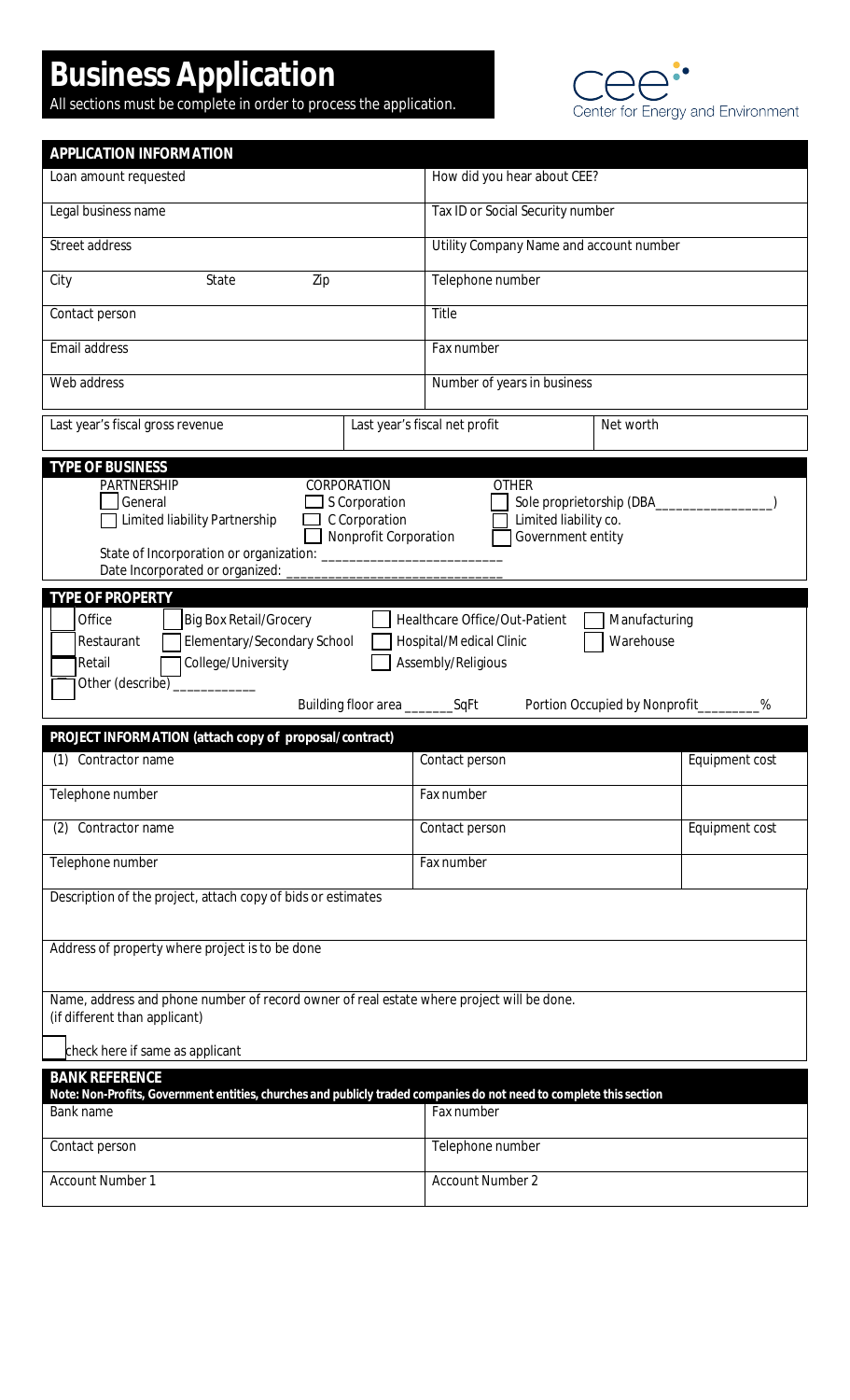## **Business Application**

All sections must be complete in order to process the application.



| APPLICATION INFORMATION                                                                                                                                                                                                                                                             |                                            |                |  |  |
|-------------------------------------------------------------------------------------------------------------------------------------------------------------------------------------------------------------------------------------------------------------------------------------|--------------------------------------------|----------------|--|--|
| Loan amount requested                                                                                                                                                                                                                                                               | How did you hear about CEE?                |                |  |  |
| Legal business name                                                                                                                                                                                                                                                                 | Tax ID or Social Security number           |                |  |  |
| Street address                                                                                                                                                                                                                                                                      | Utility Company Name and account number    |                |  |  |
| City<br>State<br>Zip                                                                                                                                                                                                                                                                | Telephone number                           |                |  |  |
| Contact person                                                                                                                                                                                                                                                                      | Title                                      |                |  |  |
| Email address                                                                                                                                                                                                                                                                       | Fax number                                 |                |  |  |
| Web address                                                                                                                                                                                                                                                                         | Number of years in business                |                |  |  |
| Last year's fiscal gross revenue                                                                                                                                                                                                                                                    | Last year's fiscal net profit<br>Net worth |                |  |  |
| <b>TYPE OF BUSINESS</b>                                                                                                                                                                                                                                                             |                                            |                |  |  |
| CORPORATION<br><b>PARTNERSHIP</b><br><b>OTHER</b><br>S Corporation<br>Sole proprietorship (DBA________<br>General<br>C Corporation<br>□ Limited liability Partnership<br>Limited liability co.<br>Nonprofit Corporation<br>Government entity<br>Date Incorporated or organized:     |                                            |                |  |  |
|                                                                                                                                                                                                                                                                                     |                                            |                |  |  |
| <b>TYPE OF PROPERTY</b><br>Office<br><b>Big Box Retail/Grocery</b><br>Healthcare Office/Out-Patient<br>Manufacturing<br>Elementary/Secondary School<br>Warehouse<br>Hospital/Medical Clinic<br>Restaurant<br>College/University<br>Assembly/Religious<br>Retail<br>Other (describe) |                                            |                |  |  |
|                                                                                                                                                                                                                                                                                     |                                            |                |  |  |
| Building floor area ____________SqFt                                                                                                                                                                                                                                                | Portion Occupied by Nonprofit              | %              |  |  |
| PROJECT INFORMATION (attach copy of proposal/contract)                                                                                                                                                                                                                              |                                            |                |  |  |
| (1) Contractor name                                                                                                                                                                                                                                                                 | Contact person                             | Equipment cost |  |  |
| Telephone number                                                                                                                                                                                                                                                                    | Fax number                                 |                |  |  |
| Contractor name<br>(2)                                                                                                                                                                                                                                                              | Contact person                             | Equipment cost |  |  |
| Telephone number                                                                                                                                                                                                                                                                    | Fax number                                 |                |  |  |
| Description of the project, attach copy of bids or estimates                                                                                                                                                                                                                        |                                            |                |  |  |
| Address of property where project is to be done                                                                                                                                                                                                                                     |                                            |                |  |  |
|                                                                                                                                                                                                                                                                                     |                                            |                |  |  |
| Name, address and phone number of record owner of real estate where project will be done.<br>(if different than applicant)                                                                                                                                                          |                                            |                |  |  |
| check here if same as applicant                                                                                                                                                                                                                                                     |                                            |                |  |  |
| <b>BANK REFERENCE</b>                                                                                                                                                                                                                                                               |                                            |                |  |  |
| Note: Non-Profits, Government entities, churches and publicly traded companies do not need to complete this section<br>Bank name                                                                                                                                                    | Fax number                                 |                |  |  |
| Contact person                                                                                                                                                                                                                                                                      | Telephone number                           |                |  |  |